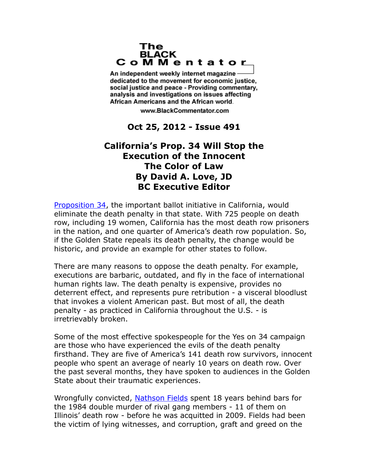## The **BLACK** CoMMentator

An independent weekly internet magazine dedicated to the movement for economic justice. social justice and peace - Providing commentary, analysis and investigations on issues affecting African Americans and the African world.

www.BlackCommentator.com

**Oct 25, 2012 - Issue 491**

## **California's Prop. 34 Will Stop the Execution of the Innocent The Color of Law By David A. Love, JD BC Executive Editor**

**[Proposition 34,](http://www.safecalifornia.org/) the important ballot initiative in California, would** eliminate the death penalty in that state. With 725 people on death row, including 19 women, California has the most death row prisoners in the nation, and one quarter of America's death row population. So, if the Golden State repeals its death penalty, the change would be historic, and provide an example for other states to follow.

There are many reasons to oppose the death penalty. For example, executions are barbaric, outdated, and fly in the face of international human rights law. The death penalty is expensive, provides no deterrent effect, and represents pure retribution - a visceral bloodlust that invokes a violent American past. But most of all, the death penalty - as practiced in California throughout the U.S. - is irretrievably broken.

Some of the most effective spokespeople for the Yes on 34 campaign are those who have experienced the evils of the death penalty firsthand. They are five of America's 141 death row survivors, innocent people who spent an average of nearly 10 years on death row. Over the past several months, they have spoken to audiences in the Golden State about their traumatic experiences.

Wrongfully convicted, [Nathson Fields](http://www.wbez.org/news/criminal-justice/former-death-row-inmate-sues-city-chicago-99987) spent 18 years behind bars for the 1984 double murder of rival gang members - 11 of them on Illinois' death row - before he was acquitted in 2009. Fields had been the victim of lying witnesses, and corruption, graft and greed on the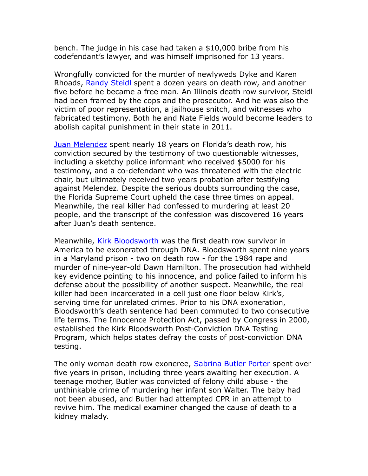bench. The judge in his case had taken a \$10,000 bribe from his codefendant's lawyer, and was himself imprisoned for 13 years.

Wrongfully convicted for the murder of newlyweds Dyke and Karen Rhoads, [Randy Steidl](http://www.law.northwestern.edu/wrongfulconvictions/exonerations/ilSteidlSummary.html) spent a dozen years on death row, and another five before he became a free man. An Illinois death row survivor, Steidl had been framed by the cops and the prosecutor. And he was also the victim of poor representation, a jailhouse snitch, and witnesses who fabricated testimony. Both he and Nate Fields would become leaders to abolish capital punishment in their state in 2011.

[Juan Melendez](http://nylatino.bside.com/2009/films/juanmelendez6446_nylatino2009) spent nearly 18 years on Florida's death row, his conviction secured by the testimony of two questionable witnesses, including a sketchy police informant who received \$5000 for his testimony, and a co-defendant who was threatened with the electric chair, but ultimately received two years probation after testifying against Melendez. Despite the serious doubts surrounding the case, the Florida Supreme Court upheld the case three times on appeal. Meanwhile, the real killer had confessed to murdering at least 20 people, and the transcript of the confession was discovered 16 years after Juan's death sentence.

Meanwhile, [Kirk Bloodsworth](http://www.baltimoresun.com/news/maryland/bal-profile073000,0,2351215.story) was the first death row survivor in America to be exonerated through DNA. Bloodsworth spent nine years in a Maryland prison - two on death row - for the 1984 rape and murder of nine-year-old Dawn Hamilton. The prosecution had withheld key evidence pointing to his innocence, and police failed to inform his defense about the possibility of another suspect. Meanwhile, the real killer had been incarcerated in a cell just one floor below Kirk's, serving time for unrelated crimes. Prior to his DNA exoneration, Bloodsworth's death sentence had been commuted to two consecutive life terms. The Innocence Protection Act, passed by Congress in 2000, established the Kirk Bloodsworth Post-Conviction DNA Testing Program, which helps states defray the costs of post-conviction DNA testing.

The only woman death row exoneree, [Sabrina Butler Porter](http://fresnoalliance.com/wordpress/?p=6587) spent over five years in prison, including three years awaiting her execution. A teenage mother, Butler was convicted of felony child abuse - the unthinkable crime of murdering her infant son Walter. The baby had not been abused, and Butler had attempted CPR in an attempt to revive him. The medical examiner changed the cause of death to a kidney malady.